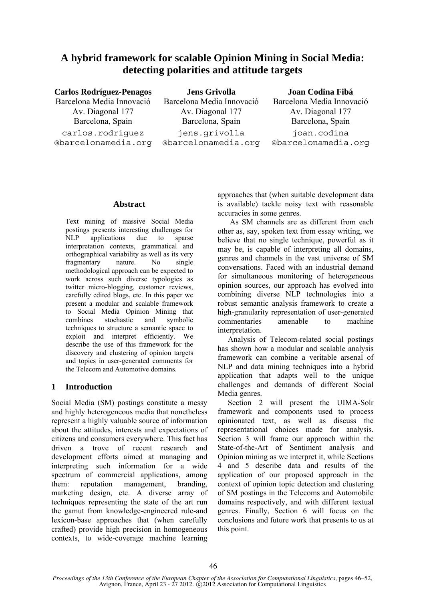# **A hybrid framework for scalable Opinion Mining in Social Media: detecting polarities and attitude targets**

# **Carlos Rodríguez-Penagos**  Barcelona Media Innovació Av. Diagonal 177 Barcelona, Spain carlos.rodriguez @barcelonamedia.org

**Jens Grivolla**  Barcelona Media Innovació Av. Diagonal 177 Barcelona, Spain jens.grivolla @barcelonamedia.org

### **Joan Codina Fibá**

Barcelona Media Innovació Av. Diagonal 177 Barcelona, Spain joan.codina @barcelonamedia.org

### **Abstract**

Text mining of massive Social Media postings presents interesting challenges for NLP applications due to sparse interpretation contexts, grammatical and orthographical variability as well as its very fragmentary nature. No single methodological approach can be expected to work across such diverse typologies as twitter micro-blogging, customer reviews, carefully edited blogs, etc. In this paper we present a modular and scalable framework to Social Media Opinion Mining that combines stochastic and symbolic techniques to structure a semantic space to exploit and interpret efficiently. We describe the use of this framework for the discovery and clustering of opinion targets and topics in user-generated comments for the Telecom and Automotive domains.

# **1 Introduction**

Social Media (SM) postings constitute a messy and highly heterogeneous media that nonetheless represent a highly valuable source of information about the attitudes, interests and expectations of citizens and consumers everywhere. This fact has driven a trove of recent research and development efforts aimed at managing and interpreting such information for a wide spectrum of commercial applications, among them: reputation management, branding, marketing design, etc. A diverse array of techniques representing the state of the art run the gamut from knowledge-engineered rule-and lexicon-base approaches that (when carefully crafted) provide high precision in homogeneous contexts, to wide-coverage machine learning

approaches that (when suitable development data is available) tackle noisy text with reasonable accuracies in some genres.

 As SM channels are as different from each other as, say, spoken text from essay writing, we believe that no single technique, powerful as it may be, is capable of interpreting all domains, genres and channels in the vast universe of SM conversations. Faced with an industrial demand for simultaneous monitoring of heterogeneous opinion sources, our approach has evolved into combining diverse NLP technologies into a robust semantic analysis framework to create a high-granularity representation of user-generated commentaries amenable to machine interpretation.

Analysis of Telecom-related social postings has shown how a modular and scalable analysis framework can combine a veritable arsenal of NLP and data mining techniques into a hybrid application that adapts well to the unique challenges and demands of different Social Media genres.

Section 2 will present the UIMA-Solr framework and components used to process opinionated text, as well as discuss the representational choices made for analysis. Section 3 will frame our approach within the State-of-the-Art of Sentiment analysis and Opinion mining as we interpret it, while Sections 4 and 5 describe data and results of the application of our proposed approach in the context of opinion topic detection and clustering of SM postings in the Telecoms and Automobile domains respectively, and with different textual genres. Finally, Section 6 will focus on the conclusions and future work that presents to us at this point.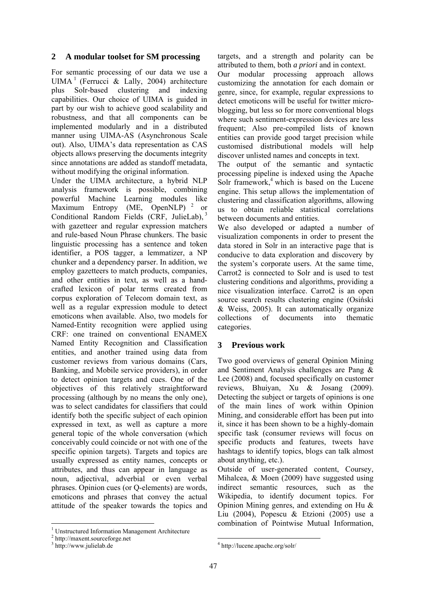### **2 A modular toolset for SM processing**

For semantic processing of our data we use a UIMA<sup>1</sup> (Ferrucci & Lally, 2004) architecture plus Solr-based clustering and indexing capabilities. Our choice of UIMA is guided in part by our wish to achieve good scalability and robustness, and that all components can be implemented modularly and in a distributed manner using UIMA-AS (Asynchronous Scale out). Also, UIMA's data representation as CAS objects allows preserving the documents integrity since annotations are added as standoff metadata, without modifying the original information.

Under the UIMA architecture, a hybrid NLP analysis framework is possible, combining powerful Machine Learning modules like Maximum Entropy (ME, OpenNLP)<sup>2</sup> or Conditional Random Fields (CRF, JulieLab), 3 with gazetteer and regular expression matchers and rule-based Noun Phrase chunkers. The basic linguistic processing has a sentence and token identifier, a POS tagger, a lemmatizer, a NP chunker and a dependency parser. In addition, we employ gazetteers to match products, companies, and other entities in text, as well as a handcrafted lexicon of polar terms created from corpus exploration of Telecom domain text, as well as a regular expression module to detect emoticons when available. Also, two models for Named-Entity recognition were applied using CRF: one trained on conventional ENAMEX Named Entity Recognition and Classification entities, and another trained using data from customer reviews from various domains (Cars, Banking, and Mobile service providers), in order to detect opinion targets and cues. One of the objectives of this relatively straightforward processing (although by no means the only one), was to select candidates for classifiers that could identify both the specific subject of each opinion expressed in text, as well as capture a more general topic of the whole conversation (which conceivably could coincide or not with one of the specific opinion targets). Targets and topics are usually expressed as entity names, concepts or attributes, and thus can appear in language as noun, adjectival, adverbial or even verbal phrases. Opinion cues (or Q-elements) are words, emoticons and phrases that convey the actual attitude of the speaker towards the topics and

<u>.</u>

targets, and a strength and polarity can be attributed to them, both *a priori* and in context.

Our modular processing approach allows customizing the annotation for each domain or genre, since, for example, regular expressions to detect emoticons will be useful for twitter microblogging, but less so for more conventional blogs where such sentiment-expression devices are less frequent; Also pre-compiled lists of known entities can provide good target precision while customised distributional models will help discover unlisted names and concepts in text.

The output of the semantic and syntactic processing pipeline is indexed using the Apache Solr framework,<sup>4</sup> which is based on the Lucene engine. This setup allows the implementation of clustering and classification algorithms, allowing us to obtain reliable statistical correlations between documents and entities.

We also developed or adapted a number of visualization components in order to present the data stored in Solr in an interactive page that is conducive to data exploration and discovery by the system's corporate users. At the same time, Carrot2 is connected to Solr and is used to test clustering conditions and algorithms, providing a nice visualization interface. Carrot2 is an open source search results clustering engine (Osiński & Weiss, 2005). It can automatically organize collections of documents into thematic categories.

#### **3 Previous work**

Two good overviews of general Opinion Mining and Sentiment Analysis challenges are Pang & Lee (2008) and, focused specifically on customer reviews, Bhuiyan, Xu & Josang (2009). Detecting the subject or targets of opinions is one of the main lines of work within Opinion Mining, and considerable effort has been put into it, since it has been shown to be a highly-domain specific task (consumer reviews will focus on specific products and features, tweets have hashtags to identify topics, blogs can talk almost about anything, etc.).

Outside of user-generated content, Coursey, Mihalcea, & Moen (2009) have suggested using indirect semantic resources, such as the Wikipedia, to identify document topics. For Opinion Mining genres, and extending on Hu & Liu (2004), Popescu & Etzioni (2005) use a combination of Pointwise Mutual Information,

1

<sup>&</sup>lt;sup>1</sup> Unstructured Information Management Architecture  $\frac{2 \text{ k} \cdot \text{ k}}{2 \text{ k} \cdot \text{ k}}$ 

http://maxent.sourceforge.net

<sup>&</sup>lt;sup>3</sup> http://www.julielab.de

<sup>4</sup> http://lucene.apache.org/solr/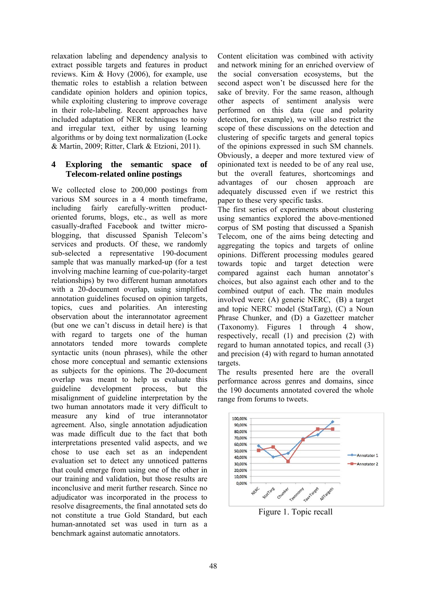relaxation labeling and dependency analysis to extract possible targets and features in product reviews. Kim & Hovy (2006), for example, use thematic roles to establish a relation between candidate opinion holders and opinion topics, while exploiting clustering to improve coverage in their role-labeling. Recent approaches have included adaptation of NER techniques to noisy and irregular text, either by using learning algorithms or by doing text normalization (Locke & Martin, 2009; Ritter, Clark & Etzioni, 2011).

### **4 Exploring the semantic space of Telecom-related online postings**

We collected close to 200,000 postings from various SM sources in a 4 month timeframe, including fairly carefully-written productoriented forums, blogs, etc., as well as more casually-drafted Facebook and twitter microblogging, that discussed Spanish Telecom's services and products. Of these, we randomly sub-selected a representative 190-document sample that was manually marked-up (for a test involving machine learning of cue-polarity-target relationships) by two different human annotators with a 20-document overlap, using simplified annotation guidelines focused on opinion targets, topics, cues and polarities. An interesting observation about the interannotator agreement (but one we can't discuss in detail here) is that with regard to targets one of the human annotators tended more towards complete syntactic units (noun phrases), while the other chose more conceptual and semantic extensions as subjects for the opinions. The 20-document overlap was meant to help us evaluate this guideline development process, but the misalignment of guideline interpretation by the two human annotators made it very difficult to measure any kind of true interannotator agreement. Also, single annotation adjudication was made difficult due to the fact that both interpretations presented valid aspects, and we chose to use each set as an independent evaluation set to detect any unnoticed patterns that could emerge from using one of the other in our training and validation, but those results are inconclusive and merit further research. Since no adjudicator was incorporated in the process to resolve disagreements, the final annotated sets do not constitute a true Gold Standard, but each human-annotated set was used in turn as a benchmark against automatic annotators.

Content elicitation was combined with activity and network mining for an enriched overview of the social conversation ecosystems, but the second aspect won't be discussed here for the sake of brevity. For the same reason, although other aspects of sentiment analysis were performed on this data (cue and polarity detection, for example), we will also restrict the scope of these discussions on the detection and clustering of specific targets and general topics of the opinions expressed in such SM channels. Obviously, a deeper and more textured view of opinionated text is needed to be of any real use, but the overall features, shortcomings and advantages of our chosen approach are adequately discussed even if we restrict this paper to these very specific tasks.

The first series of experiments about clustering using semantics explored the above-mentioned corpus of SM posting that discussed a Spanish Telecom, one of the aims being detecting and aggregating the topics and targets of online opinions. Different processing modules geared towards topic and target detection were compared against each human annotator's choices, but also against each other and to the combined output of each. The main modules involved were: (A) generic NERC, (B) a target and topic NERC model (StatTarg), (C) a Noun Phrase Chunker, and (D) a Gazetteer matcher (Taxonomy). Figures 1 through 4 show, respectively, recall (1) and precision (2) with regard to human annotated topics, and recall (3) and precision (4) with regard to human annotated targets.

The results presented here are the overall performance across genres and domains, since the 190 documents annotated covered the whole range from forums to tweets.



Figure 1. Topic recall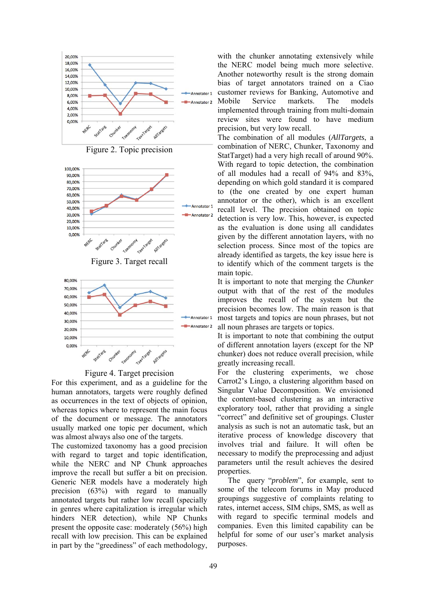







For this experiment, and as a guideline for the human annotators, targets were roughly defined as occurrences in the text of objects of opinion, whereas topics where to represent the main focus of the document or message. The annotators usually marked one topic per document, which was almost always also one of the targets.

The customized taxonomy has a good precision with regard to target and topic identification, while the NERC and NP Chunk approaches improve the recall but suffer a bit on precision. Generic NER models have a moderately high precision (63%) with regard to manually annotated targets but rather low recall (specially in genres where capitalization is irregular which hinders NER detection), while NP Chunks present the opposite case: moderately (56%) high recall with low precision. This can be explained in part by the "greediness" of each methodology,

with the chunker annotating extensively while the NERC model being much more selective. Another noteworthy result is the strong domain bias of target annotators trained on a Ciao customer reviews for Banking, Automotive and Mobile Service markets. The models implemented through training from multi-domain review sites were found to have medium precision, but very low recall.

The combination of all modules (*AllTargets*, a combination of NERC, Chunker, Taxonomy and StatTarget) had a very high recall of around 90%. With regard to topic detection, the combination of all modules had a recall of 94% and 83%, depending on which gold standard it is compared to (the one created by one expert human annotator or the other), which is an excellent recall level. The precision obtained on topic detection is very low. This, however, is expected as the evaluation is done using all candidates given by the different annotation layers, with no selection process. Since most of the topics are already identified as targets, the key issue here is to identify which of the comment targets is the main topic.

It is important to note that merging the *Chunker* output with that of the rest of the modules improves the recall of the system but the precision becomes low. The main reason is that most targets and topics are noun phrases, but not all noun phrases are targets or topics.

It is important to note that combining the output of different annotation layers (except for the NP chunker) does not reduce overall precision, while greatly increasing recall.

For the clustering experiments, we chose Carrot2's Lingo, a clustering algorithm based on Singular Value Decomposition. We envisioned the content-based clustering as an interactive exploratory tool, rather that providing a single "correct" and definitive set of groupings. Cluster analysis as such is not an automatic task, but an iterative process of knowledge discovery that involves trial and failure. It will often be necessary to modify the preprocessing and adjust parameters until the result achieves the desired properties.

The query "*problem*", for example, sent to some of the telecom forums in May produced groupings suggestive of complaints relating to rates, internet access, SIM chips, SMS, as well as with regard to specific terminal models and companies. Even this limited capability can be helpful for some of our user's market analysis purposes.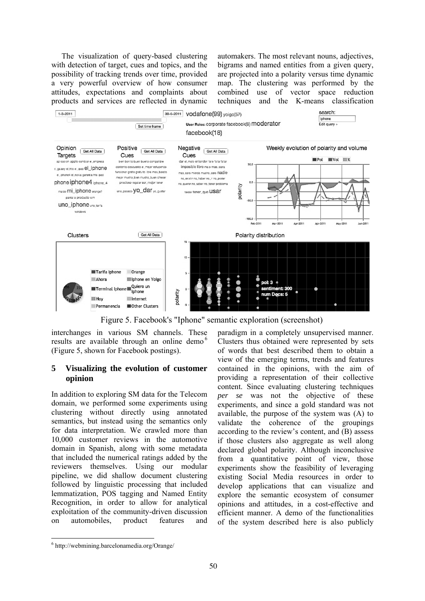The visualization of query-based clustering with detection of target, cues and topics, and the possibility of tracking trends over time, provided a very powerful overview of how consumer attitudes, expectations and complaints about products and services are reflected in dynamic automakers. The most relevant nouns, adjectives, bigrams and named entities from a given query, are projected into a polarity versus time dynamic map. The clustering was performed by the combined use of vector space reduction techniques and the K-means classification



Figure 5. Facebook's "Iphone" semantic exploration (screenshot)

interchanges in various SM channels. These results are available through an online demo<sup>6</sup> (Figure 5, shown for Facebook postings).

### **5 Visualizing the evolution of customer opinion**

In addition to exploring SM data for the Telecom domain, we performed some experiments using clustering without directly using annotated semantics, but instead using the semantics only for data interpretation. We crawled more than 10,000 customer reviews in the automotive domain in Spanish, along with some metadata that included the numerical ratings added by the reviewers themselves. Using our modular pipeline, we did shallow document clustering followed by linguistic processing that included lemmatization, POS tagging and Named Entity Recognition, in order to allow for analytical exploitation of the community-driven discussion on automobiles, product features and

paradigm in a completely unsupervised manner. Clusters thus obtained were represented by sets of words that best described them to obtain a view of the emerging terms, trends and features contained in the opinions, with the aim of providing a representation of their collective content. Since evaluating clustering techniques *per se* was not the objective of these experiments, and since a gold standard was not available, the purpose of the system was (A) to validate the coherence of the groupings according to the review's content, and (B) assess if those clusters also aggregate as well along declared global polarity. Although inconclusive from a quantitative point of view, those experiments show the feasibility of leveraging existing Social Media resources in order to develop applications that can visualize and explore the semantic ecosystem of consumer opinions and attitudes, in a cost-effective and efficient manner. A demo of the functionalities of the system described here is also publicly

1

<sup>6</sup> http://webmining.barcelonamedia.org/Orange/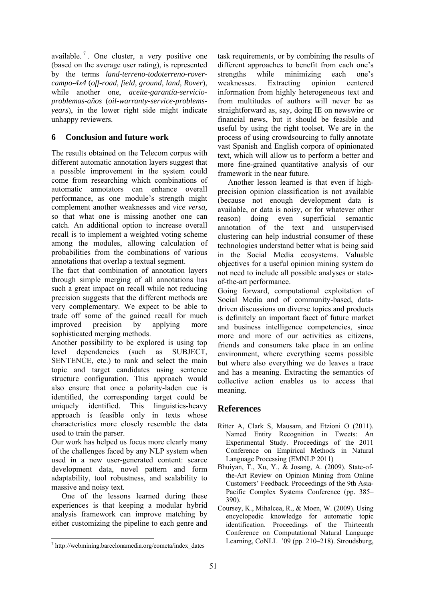available.<sup>7</sup>. One cluster, a very positive one (based on the average user rating), is represented by the terms *land-terreno-todoterreno-rovercampo-4x4* (*off-road, field, ground, land, Rover*), while another one, *aceite-garantía-servicioproblemas-años* (*oil-warranty-service-problemsyears*), in the lower right side might indicate unhappy reviewers.

### **6 Conclusion and future work**

The results obtained on the Telecom corpus with different automatic annotation layers suggest that a possible improvement in the system could come from researching which combinations of automatic annotators can enhance overall performance, as one module's strength might complement another weaknesses and *vice versa,* so that what one is missing another one can catch. An additional option to increase overall recall is to implement a weighted voting scheme among the modules, allowing calculation of probabilities from the combinations of various annotations that overlap a textual segment.

The fact that combination of annotation layers through simple merging of all annotations has such a great impact on recall while not reducing precision suggests that the different methods are very complementary. We expect to be able to trade off some of the gained recall for much improved precision by applying more sophisticated merging methods.

Another possibility to be explored is using top level dependencies (such as SUBJECT, SENTENCE, etc.) to rank and select the main topic and target candidates using sentence structure configuration. This approach would also ensure that once a polarity-laden cue is identified, the corresponding target could be uniquely identified. This linguistics-heavy approach is feasible only in texts whose characteristics more closely resemble the data used to train the parser.

Our work has helped us focus more clearly many of the challenges faced by any NLP system when used in a new user-generated content: scarce development data, novel pattern and form adaptability, tool robustness, and scalability to massive and noisy text.

One of the lessons learned during these experiences is that keeping a modular hybrid analysis framework can improve matching by either customizing the pipeline to each genre and

1

task requirements, or by combining the results of different approaches to benefit from each one's strengths while minimizing each one's weaknesses. Extracting opinion centered information from highly heterogeneous text and from multitudes of authors will never be as straightforward as, say, doing IE on newswire or financial news, but it should be feasible and useful by using the right toolset. We are in the process of using crowdsourcing to fully annotate vast Spanish and English corpora of opinionated text, which will allow us to perform a better and more fine-grained quantitative analysis of our framework in the near future.

Another lesson learned is that even if highprecision opinion classification is not available (because not enough development data is available, or data is noisy, or for whatever other reason) doing even superficial semantic annotation of the text and unsupervised clustering can help industrial consumer of these technologies understand better what is being said in the Social Media ecosystems. Valuable objectives for a useful opinion mining system do not need to include all possible analyses or stateof-the-art performance.

Going forward, computational exploitation of Social Media and of community-based, datadriven discussions on diverse topics and products is definitely an important facet of future market and business intelligence competencies, since more and more of our activities as citizens, friends and consumers take place in an online environment, where everything seems possible but where also everything we do leaves a trace and has a meaning. Extracting the semantics of collective action enables us to access that meaning.

# **References**

- Ritter A, Clark S, Mausam, and Etzioni O (2011). Named Entity Recognition in Tweets: An Experimental Study. Proceedings of the 2011 Conference on Empirical Methods in Natural Language Processing (EMNLP 2011)
- Bhuiyan, T., Xu, Y., & Josang, A. (2009). State-ofthe-Art Review on Opinion Mining from Online Customers' Feedback. Proceedings of the 9th Asia-Pacific Complex Systems Conference (pp. 385– 390).
- Coursey, K., Mihalcea, R., & Moen, W. (2009). Using encyclopedic knowledge for automatic topic identification. Proceedings of the Thirteenth Conference on Computational Natural Language Learning, CoNLL '09 (pp. 210–218). Stroudsburg,

<sup>7</sup> http://webmining.barcelonamedia.org/cometa/index\_dates